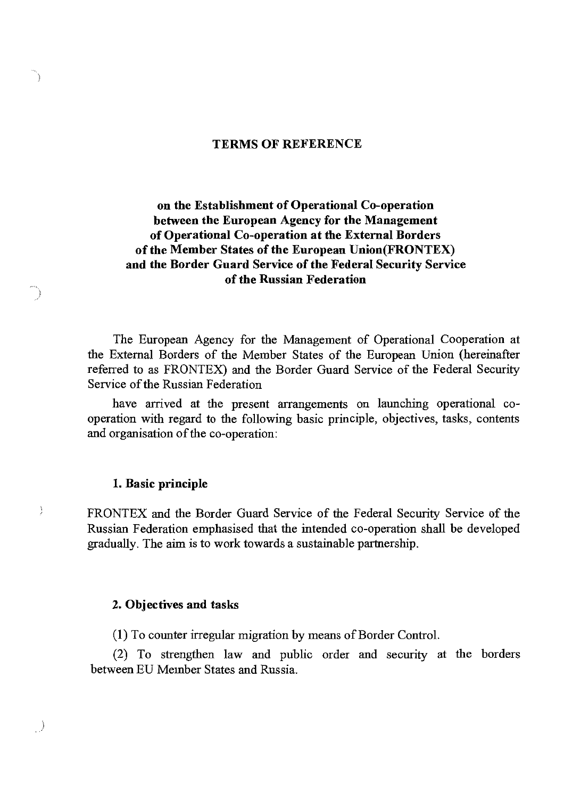#### **TERMS OF REFERENCE**

### **on the Establishment of Operational Co-operation between the European Agency for the Management of Operational Co-operation at the External Borders of the Member States of the European Union(FRONTEX) and the Border Guard Service of the Federal Security Service of the Russian Federation**

The European Agency for the Management of Operational Cooperation at the External Borders of the Member States of the European Union (hereinafter referred to as FRONTEX) and the Border Guard Service of the Federal Security Service of the Russian Federation

have arrived at the present arrangements on launching operational cooperation with regard to the following basic principle, objectives, tasks, contents and organisation of the co-operation:

#### **1. Basic principle**

Ì

FRONTEX and the Border Guard Service of the Federal Security Service of the Russian Federation emphasised that the intended co-operation shall be developed gradually. The aim is to work towards a sustainable partnership.

#### **2. Objectives and tasks**

(1) To counter irregular migration by means of Border Control.

(2) To strengthen law and public order and security at the borders between EU Member States and Russia.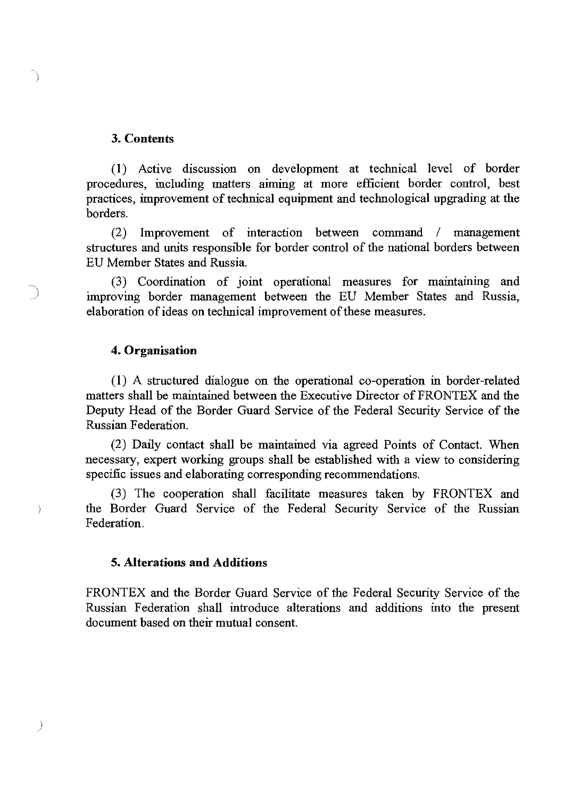#### **3. Contents**

 $\mathbb{Z}^2$ 

 $\sim$ 

 $\overline{\phantom{a}}$ 

(1) Active discussion on development at teclmical level of border procedures, including matters aiming at more efficient border control, best practices, improvement of teclmical equipment and teclmological upgrading at the borders.

(2) Improvement of interaction between command / management structures and units responsible for border control of the national borders between EU Member States and Russia.

(3) Coordination of joint operational measures for maintaining and improving border management between the EU Member States and Russia, elaboration of ideas on teclmical improvement of these measures.

#### **4. Organisation**

(1) A structured dialogue on the operational co-operation in border-related matters shall be maintained between the Executive Director of FRONTEX and the Deputy Head of the Border Guard Service of the Federal Security Service of the Russian Federation.

(2) Daily contact shall be maintained via agreed Points of Contact. When necessary, expert working groups shall be established with a view to considering specific issues and elaborating corresponding recommendations.

(3) The cooperation shall facilitate measures taken by FRONTEX and the Border Guard Service of the Federal Security Service of the Russian Federation.

#### **5. Alterations and Additions**

FRONTEX and the Border Guard Service of the Federal Security Service of the Russian Federation shall introduce alterations and additions into the present document based on their mutual consent.